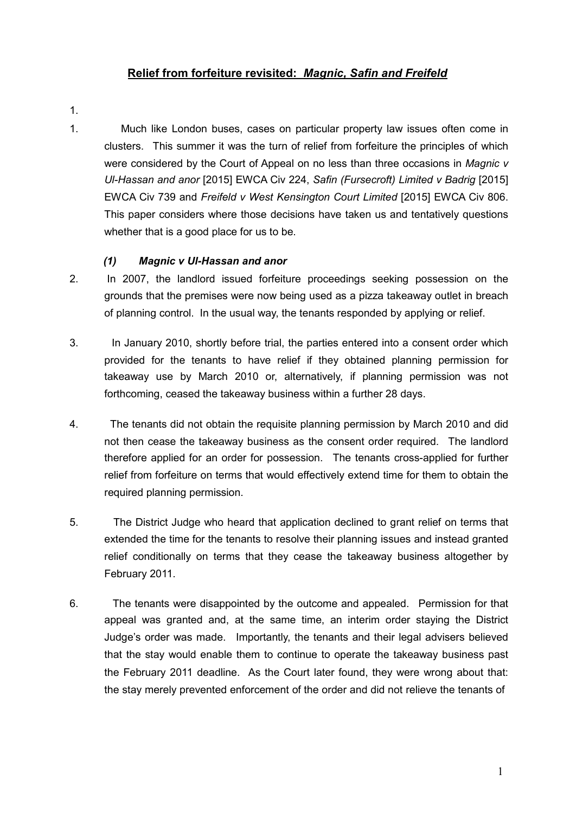# **Relief from forfeiture revisited:** *Magnic, Safin and Freifeld*

- 1.
- 1. Much like London buses, cases on particular property law issues often come in clusters. This summer it was the turn of relief from forfeiture the principles of which were considered by the Court of Appeal on no less than three occasions in *Magnic v Ul-Hassan and anor* [2015] EWCA Civ 224, *Safin (Fursecroft) Limited v Badrig* [2015] EWCA Civ 739 and *Freifeld v West Kensington Court Limited* [2015] EWCA Civ 806. This paper considers where those decisions have taken us and tentatively questions whether that is a good place for us to be.

## *(1) Magnic v Ul-Hassan and anor*

- 2. In 2007, the landlord issued forfeiture proceedings seeking possession on the grounds that the premises were now being used as a pizza takeaway outlet in breach of planning control. In the usual way, the tenants responded by applying or relief.
- 3. In January 2010, shortly before trial, the parties entered into a consent order which provided for the tenants to have relief if they obtained planning permission for takeaway use by March 2010 or, alternatively, if planning permission was not forthcoming, ceased the takeaway business within a further 28 days.
- 4. The tenants did not obtain the requisite planning permission by March 2010 and did not then cease the takeaway business as the consent order required. The landlord therefore applied for an order for possession. The tenants cross-applied for further relief from forfeiture on terms that would effectively extend time for them to obtain the required planning permission.
- 5. The District Judge who heard that application declined to grant relief on terms that extended the time for the tenants to resolve their planning issues and instead granted relief conditionally on terms that they cease the takeaway business altogether by February 2011.
- 6. The tenants were disappointed by the outcome and appealed. Permission for that appeal was granted and, at the same time, an interim order staying the District Judge's order was made. Importantly, the tenants and their legal advisers believed that the stay would enable them to continue to operate the takeaway business past the February 2011 deadline. As the Court later found, they were wrong about that: the stay merely prevented enforcement of the order and did not relieve the tenants of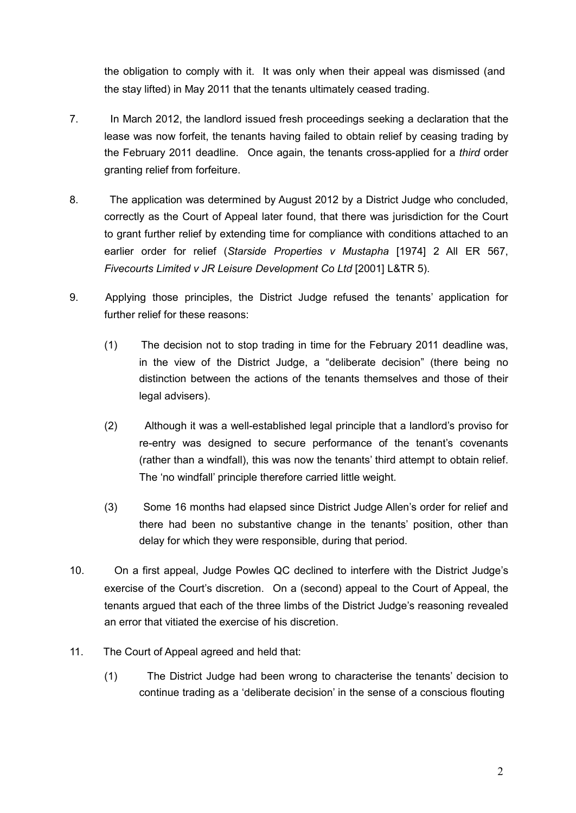the obligation to comply with it. It was only when their appeal was dismissed (and the stay lifted) in May 2011 that the tenants ultimately ceased trading.

- 7. In March 2012, the landlord issued fresh proceedings seeking a declaration that the lease was now forfeit, the tenants having failed to obtain relief by ceasing trading by the February 2011 deadline. Once again, the tenants cross-applied for a *third* order granting relief from forfeiture.
- 8. The application was determined by August 2012 by a District Judge who concluded, correctly as the Court of Appeal later found, that there was jurisdiction for the Court to grant further relief by extending time for compliance with conditions attached to an earlier order for relief (*Starside Properties v Mustapha* [1974] 2 All ER 567, *Fivecourts Limited v JR Leisure Development Co Ltd* [2001] L&TR 5).
- 9. Applying those principles, the District Judge refused the tenants' application for further relief for these reasons:
	- (1) The decision not to stop trading in time for the February 2011 deadline was, in the view of the District Judge, a "deliberate decision" (there being no distinction between the actions of the tenants themselves and those of their legal advisers).
	- (2) Although it was a well-established legal principle that a landlord's proviso for re-entry was designed to secure performance of the tenant's covenants (rather than a windfall), this was now the tenants' third attempt to obtain relief. The 'no windfall' principle therefore carried little weight.
	- (3) Some 16 months had elapsed since District Judge Allen's order for relief and there had been no substantive change in the tenants' position, other than delay for which they were responsible, during that period.
- 10. On a first appeal, Judge Powles QC declined to interfere with the District Judge's exercise of the Court's discretion. On a (second) appeal to the Court of Appeal, the tenants argued that each of the three limbs of the District Judge's reasoning revealed an error that vitiated the exercise of his discretion.
- 11. The Court of Appeal agreed and held that:
	- (1) The District Judge had been wrong to characterise the tenants' decision to continue trading as a 'deliberate decision' in the sense of a conscious flouting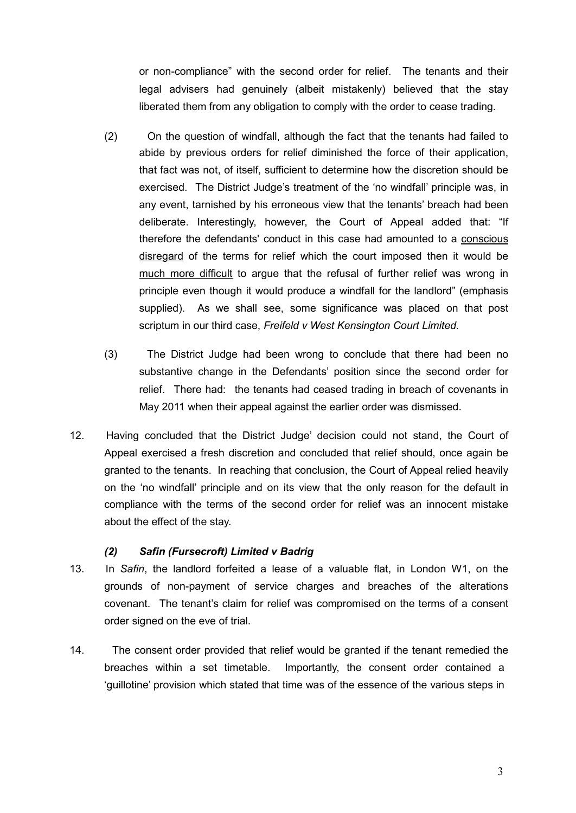or non-compliance" with the second order for relief. The tenants and their legal advisers had genuinely (albeit mistakenly) believed that the stay liberated them from any obligation to comply with the order to cease trading.

- (2) On the question of windfall, although the fact that the tenants had failed to abide by previous orders for relief diminished the force of their application, that fact was not, of itself, sufficient to determine how the discretion should be exercised. The District Judge's treatment of the 'no windfall' principle was, in any event, tarnished by his erroneous view that the tenants' breach had been deliberate. Interestingly, however, the Court of Appeal added that: "If therefore the defendants' conduct in this case had amounted to a conscious disregard of the terms for relief which the court imposed then it would be much more difficult to argue that the refusal of further relief was wrong in principle even though it would produce a windfall for the landlord" (emphasis supplied). As we shall see, some significance was placed on that post scriptum in our third case, *Freifeld v West Kensington Court Limited.*
- (3) The District Judge had been wrong to conclude that there had been no substantive change in the Defendants' position since the second order for relief. There had: the tenants had ceased trading in breach of covenants in May 2011 when their appeal against the earlier order was dismissed.
- 12. Having concluded that the District Judge' decision could not stand, the Court of Appeal exercised a fresh discretion and concluded that relief should, once again be granted to the tenants. In reaching that conclusion, the Court of Appeal relied heavily on the 'no windfall' principle and on its view that the only reason for the default in compliance with the terms of the second order for relief was an innocent mistake about the effect of the stay.

### *(2) Safin (Fursecroft) Limited v Badrig*

- 13. In *Safin*, the landlord forfeited a lease of a valuable flat, in London W1, on the grounds of non-payment of service charges and breaches of the alterations covenant. The tenant's claim for relief was compromised on the terms of a consent order signed on the eve of trial.
- 14. The consent order provided that relief would be granted if the tenant remedied the breaches within a set timetable. Importantly, the consent order contained a 'guillotine' provision which stated that time was of the essence of the various steps in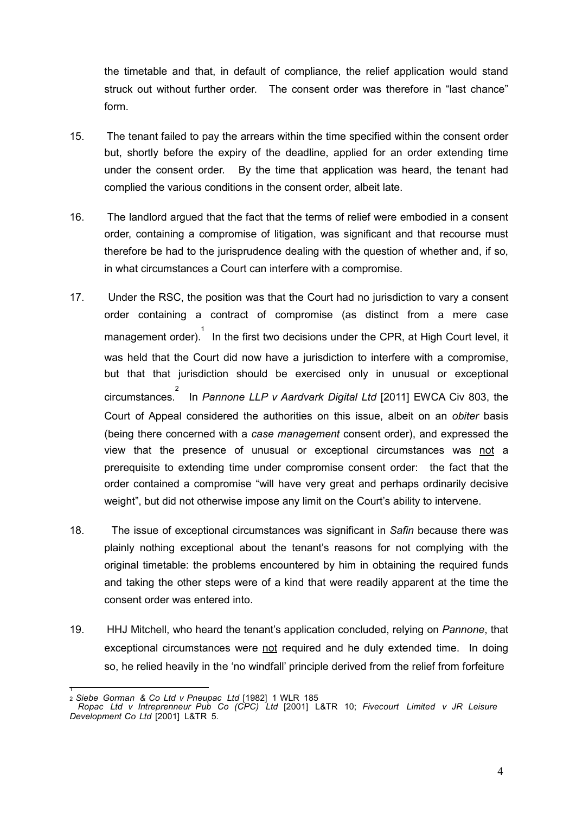the timetable and that, in default of compliance, the relief application would stand struck out without further order. The consent order was therefore in "last chance" form.

- 15. The tenant failed to pay the arrears within the time specified within the consent order but, shortly before the expiry of the deadline, applied for an order extending time under the consent order. By the time that application was heard, the tenant had complied the various conditions in the consent order, albeit late.
- 16. The landlord argued that the fact that the terms of relief were embodied in a consent order, containing a compromise of litigation, was significant and that recourse must therefore be had to the jurisprudence dealing with the question of whether and, if so, in what circumstances a Court can interfere with a compromise.
- 17. Under the RSC, the position was that the Court had no jurisdiction to vary a consent order containing a contract of compromise (as distinct from a mere case management order). 1 In the first two decisions under the CPR, at High Court level, it was held that the Court did now have a jurisdiction to interfere with a compromise, but that that jurisdiction should be exercised only in unusual or exceptional circumstances. 2 In *Pannone LLP v Aardvark Digital Ltd* [2011] EWCA Civ 803, the Court of Appeal considered the authorities on this issue, albeit on an *obiter* basis (being there concerned with a *case management* consent order), and expressed the view that the presence of unusual or exceptional circumstances was not a prerequisite to extending time under compromise consent order: the fact that the order contained a compromise "will have very great and perhaps ordinarily decisive weight", but did not otherwise impose any limit on the Court's ability to intervene.
- 18. The issue of exceptional circumstances was significant in *Safin* because there was plainly nothing exceptional about the tenant's reasons for not complying with the original timetable: the problems encountered by him in obtaining the required funds and taking the other steps were of a kind that were readily apparent at the time the consent order was entered into.
- 19. HHJ Mitchell, who heard the tenant's application concluded, relying on *Pannone*, that exceptional circumstances were not required and he duly extended time. In doing so, he relied heavily in the 'no windfall' principle derived from the relief from forfeiture

<sup>1</sup> <sup>2</sup>*Siebe Gorman & Co Ltd v Pneupac Ltd* [1982] 1 WLR 185

*Ropac Ltd v Intreprenneur Pub Co (CPC) Ltd* [2001] L&TR 10; *Fivecourt Limited v JR Leisure Development Co Ltd* [2001] L&TR 5.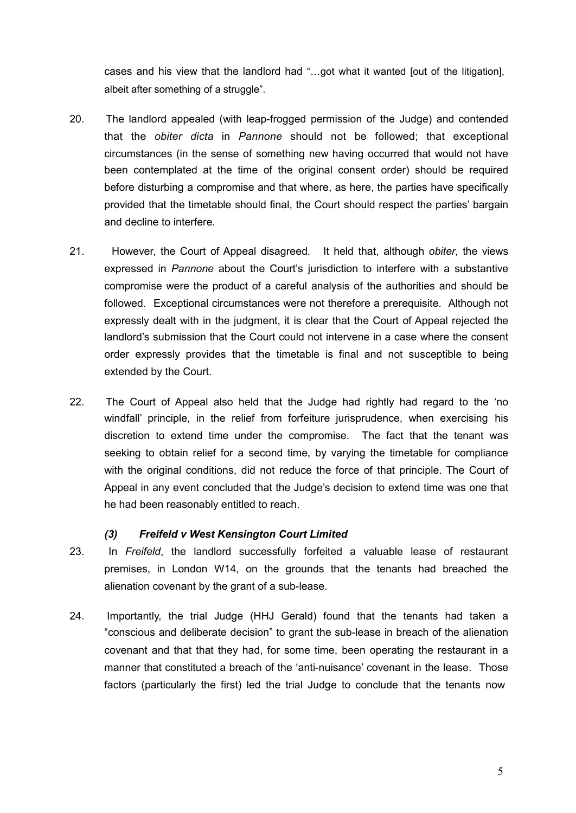cases and his view that the landlord had "…got what it wanted [out of the litigation], albeit after something of a struggle".

- 20. The landlord appealed (with leap-frogged permission of the Judge) and contended that the *obiter dicta* in *Pannone* should not be followed; that exceptional circumstances (in the sense of something new having occurred that would not have been contemplated at the time of the original consent order) should be required before disturbing a compromise and that where, as here, the parties have specifically provided that the timetable should final, the Court should respect the parties' bargain and decline to interfere.
- 21. However, the Court of Appeal disagreed. It held that, although *obiter*, the views expressed in *Pannone* about the Court's jurisdiction to interfere with a substantive compromise were the product of a careful analysis of the authorities and should be followed. Exceptional circumstances were not therefore a prerequisite. Although not expressly dealt with in the judgment, it is clear that the Court of Appeal rejected the landlord's submission that the Court could not intervene in a case where the consent order expressly provides that the timetable is final and not susceptible to being extended by the Court.
- 22. The Court of Appeal also held that the Judge had rightly had regard to the 'no windfall' principle, in the relief from forfeiture jurisprudence, when exercising his discretion to extend time under the compromise. The fact that the tenant was seeking to obtain relief for a second time, by varying the timetable for compliance with the original conditions, did not reduce the force of that principle. The Court of Appeal in any event concluded that the Judge's decision to extend time was one that he had been reasonably entitled to reach.

### *(3) Freifeld v West Kensington Court Limited*

- 23. In *Freifeld*, the landlord successfully forfeited a valuable lease of restaurant premises, in London W14, on the grounds that the tenants had breached the alienation covenant by the grant of a sub-lease.
- 24. Importantly, the trial Judge (HHJ Gerald) found that the tenants had taken a "conscious and deliberate decision" to grant the sub-lease in breach of the alienation covenant and that that they had, for some time, been operating the restaurant in a manner that constituted a breach of the 'anti-nuisance' covenant in the lease. Those factors (particularly the first) led the trial Judge to conclude that the tenants now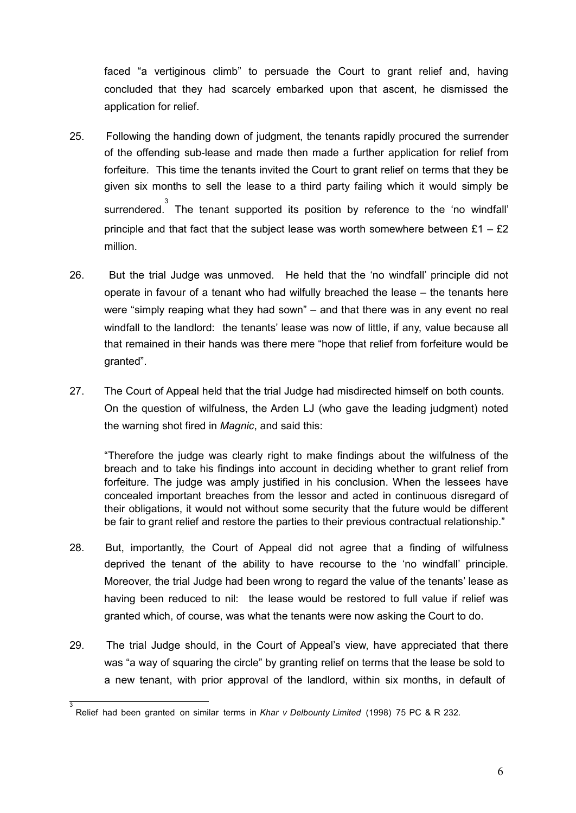faced "a vertiginous climb" to persuade the Court to grant relief and, having concluded that they had scarcely embarked upon that ascent, he dismissed the application for relief.

- 25. Following the handing down of judgment, the tenants rapidly procured the surrender of the offending sub-lease and made then made a further application for relief from forfeiture. This time the tenants invited the Court to grant relief on terms that they be given six months to sell the lease to a third party failing which it would simply be surrendered. 3 The tenant supported its position by reference to the 'no windfall' principle and that fact that the subject lease was worth somewhere between  $£1 - £2$ million.
- 26. But the trial Judge was unmoved. He held that the 'no windfall' principle did not operate in favour of a tenant who had wilfully breached the lease – the tenants here were "simply reaping what they had sown" – and that there was in any event no real windfall to the landlord: the tenants' lease was now of little, if any, value because all that remained in their hands was there mere "hope that relief from forfeiture would be granted".
- 27. The Court of Appeal held that the trial Judge had misdirected himself on both counts. On the question of wilfulness, the Arden LJ (who gave the leading judgment) noted the warning shot fired in *Magnic*, and said this:

"Therefore the judge was clearly right to make findings about the wilfulness of the breach and to take his findings into account in deciding whether to grant relief from forfeiture. The judge was amply justified in his conclusion. When the lessees have concealed important breaches from the lessor and acted in continuous disregard of their obligations, it would not without some security that the future would be different be fair to grant relief and restore the parties to their previous contractual relationship."

- 28. But, importantly, the Court of Appeal did not agree that a finding of wilfulness deprived the tenant of the ability to have recourse to the 'no windfall' principle. Moreover, the trial Judge had been wrong to regard the value of the tenants' lease as having been reduced to nil: the lease would be restored to full value if relief was granted which, of course, was what the tenants were now asking the Court to do.
- 29. The trial Judge should, in the Court of Appeal's view, have appreciated that there was "a way of squaring the circle" by granting relief on terms that the lease be sold to a new tenant, with prior approval of the landlord, within six months, in default of

<sup>3</sup> Relief had been granted on similar terms in *Khar v Delbounty Limited* (1998) 75 PC & R 232.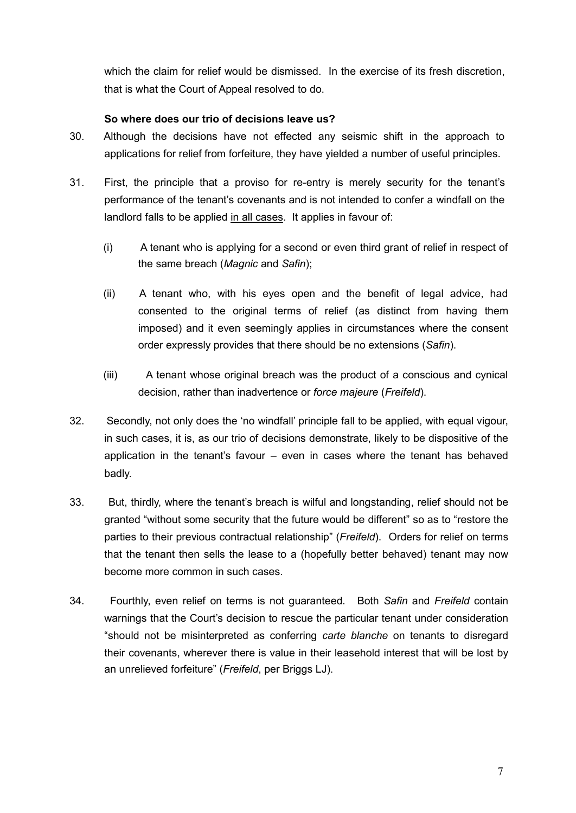which the claim for relief would be dismissed. In the exercise of its fresh discretion, that is what the Court of Appeal resolved to do.

#### **So where does our trio of decisions leave us?**

- 30. Although the decisions have not effected any seismic shift in the approach to applications for relief from forfeiture, they have yielded a number of useful principles.
- 31. First, the principle that a proviso for re-entry is merely security for the tenant's performance of the tenant's covenants and is not intended to confer a windfall on the landlord falls to be applied in all cases. It applies in favour of:
	- (i) A tenant who is applying for a second or even third grant of relief in respect of the same breach (*Magnic* and *Safin*);
	- (ii) A tenant who, with his eyes open and the benefit of legal advice, had consented to the original terms of relief (as distinct from having them imposed) and it even seemingly applies in circumstances where the consent order expressly provides that there should be no extensions (*Safin*).
	- (iii) A tenant whose original breach was the product of a conscious and cynical decision, rather than inadvertence or *force majeure* (*Freifeld*).
- 32. Secondly, not only does the 'no windfall' principle fall to be applied, with equal vigour, in such cases, it is, as our trio of decisions demonstrate, likely to be dispositive of the application in the tenant's favour – even in cases where the tenant has behaved badly.
- 33. But, thirdly, where the tenant's breach is wilful and longstanding, relief should not be granted "without some security that the future would be different" so as to "restore the parties to their previous contractual relationship" (*Freifeld*). Orders for relief on terms that the tenant then sells the lease to a (hopefully better behaved) tenant may now become more common in such cases.
- 34. Fourthly, even relief on terms is not guaranteed. Both *Safin* and *Freifeld* contain warnings that the Court's decision to rescue the particular tenant under consideration "should not be misinterpreted as conferring *carte blanche* on tenants to disregard their covenants, wherever there is value in their leasehold interest that will be lost by an unrelieved forfeiture" (*Freifeld*, per Briggs LJ).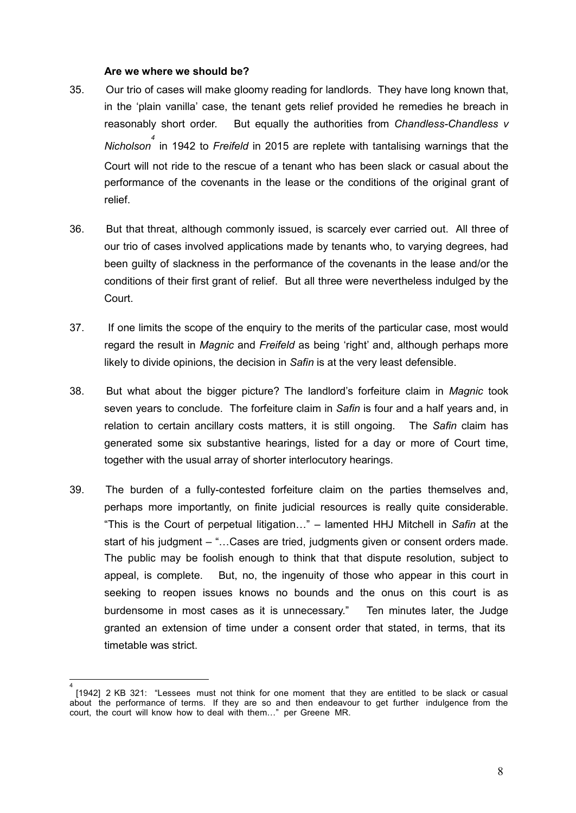#### **Are we where we should be?**

- 35. Our trio of cases will make gloomy reading for landlords. They have long known that, in the 'plain vanilla' case, the tenant gets relief provided he remedies he breach in reasonably short order. But equally the authorities from *Chandless-Chandless v Nicholson 4*  in 1942 to *Freifeld* in 2015 are replete with tantalising warnings that the Court will not ride to the rescue of a tenant who has been slack or casual about the performance of the covenants in the lease or the conditions of the original grant of relief.
- 36. But that threat, although commonly issued, is scarcely ever carried out. All three of our trio of cases involved applications made by tenants who, to varying degrees, had been guilty of slackness in the performance of the covenants in the lease and/or the conditions of their first grant of relief. But all three were nevertheless indulged by the Court.
- 37. If one limits the scope of the enquiry to the merits of the particular case, most would regard the result in *Magnic* and *Freifeld* as being 'right' and, although perhaps more likely to divide opinions, the decision in *Safin* is at the very least defensible.
- 38. But what about the bigger picture? The landlord's forfeiture claim in *Magnic* took seven years to conclude. The forfeiture claim in *Safin* is four and a half years and, in relation to certain ancillary costs matters, it is still ongoing. The *Safin* claim has generated some six substantive hearings, listed for a day or more of Court time, together with the usual array of shorter interlocutory hearings.
- 39. The burden of a fully-contested forfeiture claim on the parties themselves and, perhaps more importantly, on finite judicial resources is really quite considerable. "This is the Court of perpetual litigation…" – lamented HHJ Mitchell in *Safin* at the start of his judgment – "…Cases are tried, judgments given or consent orders made. The public may be foolish enough to think that that dispute resolution, subject to appeal, is complete. But, no, the ingenuity of those who appear in this court in seeking to reopen issues knows no bounds and the onus on this court is as burdensome in most cases as it is unnecessary." Ten minutes later, the Judge granted an extension of time under a consent order that stated, in terms, that its timetable was strict.

<sup>4</sup> [1942] 2 KB 321: "Lessees must not think for one moment that they are entitled to be slack or casual about the performance of terms. If they are so and then endeavour to get further indulgence from the court, the court will know how to deal with them…" per Greene MR.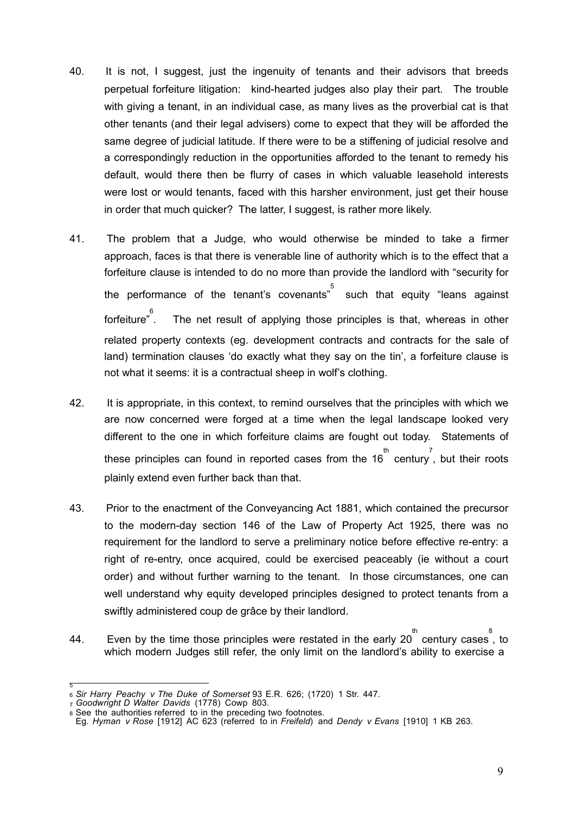- 40. It is not, I suggest, just the ingenuity of tenants and their advisors that breeds perpetual forfeiture litigation: kind-hearted judges also play their part. The trouble with giving a tenant, in an individual case, as many lives as the proverbial cat is that other tenants (and their legal advisers) come to expect that they will be afforded the same degree of judicial latitude. If there were to be a stiffening of judicial resolve and a correspondingly reduction in the opportunities afforded to the tenant to remedy his default, would there then be flurry of cases in which valuable leasehold interests were lost or would tenants, faced with this harsher environment, just get their house in order that much quicker? The latter, I suggest, is rather more likely.
- 41. The problem that a Judge, who would otherwise be minded to take a firmer approach, faces is that there is venerable line of authority which is to the effect that a forfeiture clause is intended to do no more than provide the landlord with "security for the performance of the tenant's covenants" Such that equity "leans against forfeiture" 6 The net result of applying those principles is that, whereas in other related property contexts (eg. development contracts and contracts for the sale of land) termination clauses 'do exactly what they say on the tin', a forfeiture clause is not what it seems: it is a contractual sheep in wolf's clothing.
- 42. It is appropriate, in this context, to remind ourselves that the principles with which we are now concerned were forged at a time when the legal landscape looked very different to the one in which forfeiture claims are fought out today. Statements of these principles can found in reported cases from the 16<sup>th</sup> century, but their roots plainly extend even further back than that.
- 43. Prior to the enactment of the Conveyancing Act 1881, which contained the precursor to the modern-day section 146 of the Law of Property Act 1925, there was no requirement for the landlord to serve a preliminary notice before effective re-entry: a right of re-entry, once acquired, could be exercised peaceably (ie without a court order) and without further warning to the tenant. In those circumstances, one can well understand why equity developed principles designed to protect tenants from a swiftly administered coup de grâce by their landlord.
- 44. Even by the time those principles were restated in the early 20  $\overset{\text{th}}{ }$  century cases , to which modern Judges still refer, the only limit on the landlord's ability to exercise a

<sup>5</sup> <sup>6</sup> *Sir Harry Peachy v The Duke of Somerset* 93 E.R. 626; (1720) 1 Str. 447.

<sup>7</sup> *Goodwright D Walter Davids* (1778) Cowp 803.

<sup>8</sup> See the authorities referred to in the preceding two footnotes.

Eg. *Hyman v Rose* [1912] AC 623 (referred to in *Freifeld*) and *Dendy v Evans* [1910] 1 KB 263.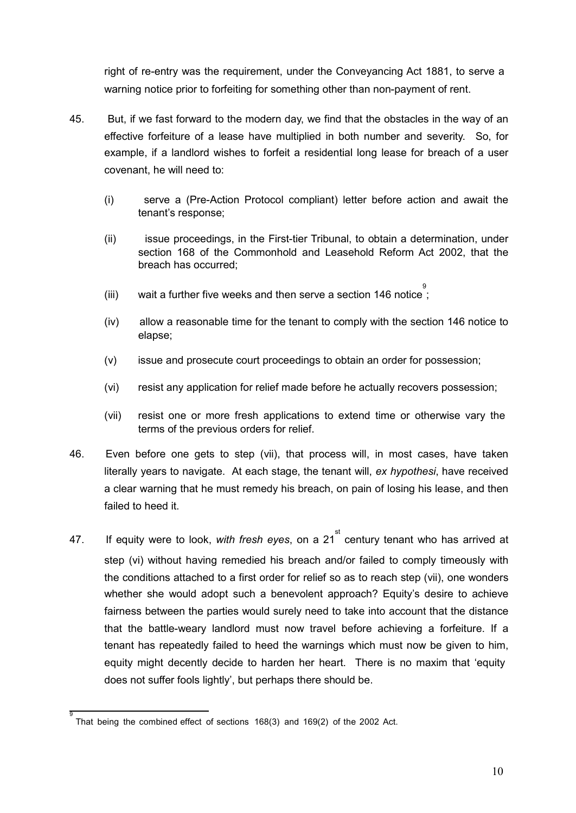right of re-entry was the requirement, under the Conveyancing Act 1881, to serve a warning notice prior to forfeiting for something other than non-payment of rent.

- 45. But, if we fast forward to the modern day, we find that the obstacles in the way of an effective forfeiture of a lease have multiplied in both number and severity. So, for example, if a landlord wishes to forfeit a residential long lease for breach of a user covenant, he will need to:
	- (i) serve a (Pre-Action Protocol compliant) letter before action and await the tenant's response;
	- (ii) issue proceedings, in the First-tier Tribunal, to obtain a determination, under section 168 of the Commonhold and Leasehold Reform Act 2002, that the breach has occurred;
	- (iii) vait a further five weeks and then serve a section 146 notice;
	- (iv) allow a reasonable time for the tenant to comply with the section 146 notice to elapse;
	- (v) issue and prosecute court proceedings to obtain an order for possession;
	- (vi) resist any application for relief made before he actually recovers possession;
	- (vii) resist one or more fresh applications to extend time or otherwise vary the terms of the previous orders for relief.
- 46. Even before one gets to step (vii), that process will, in most cases, have taken literally years to navigate. At each stage, the tenant will, *ex hypothesi*, have received a clear warning that he must remedy his breach, on pain of losing his lease, and then failed to heed it.
- 47. If equity were to look, *with fresh eyes*, on a 21 st century tenant who has arrived at step (vi) without having remedied his breach and/or failed to comply timeously with the conditions attached to a first order for relief so as to reach step (vii), one wonders whether she would adopt such a benevolent approach? Equity's desire to achieve fairness between the parties would surely need to take into account that the distance that the battle-weary landlord must now travel before achieving a forfeiture. If a tenant has repeatedly failed to heed the warnings which must now be given to him, equity might decently decide to harden her heart. There is no maxim that 'equity does not suffer fools lightly', but perhaps there should be.

<sup>9</sup> That being the combined effect of sections 168(3) and 169(2) of the 2002 Act.